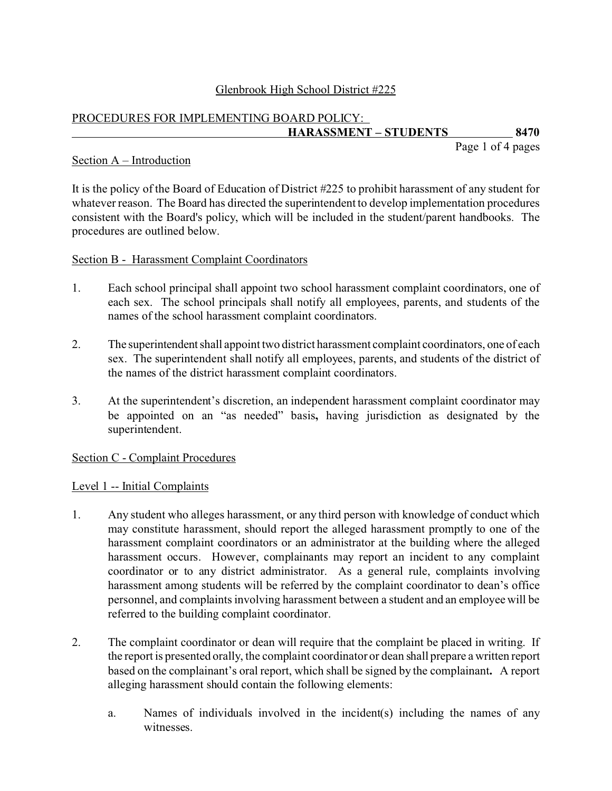## Glenbrook High School District #225

# PROCEDURES FOR IMPLEMENTING BOARD POLICY: **HARASSMENT – STUDENTS 8470**

Page 1 of 4 pages

#### Section A – Introduction

It is the policy of the Board of Education of District #225 to prohibit harassment of any student for whatever reason. The Board has directed the superintendent to develop implementation procedures consistent with the Board's policy, which will be included in the student/parent handbooks. The procedures are outlined below.

#### Section B - Harassment Complaint Coordinators

- 1. Each school principal shall appoint two school harassment complaint coordinators, one of each sex. The school principals shall notify all employees, parents, and students of the names of the school harassment complaint coordinators.
- 2. The superintendent shall appoint two district harassment complaint coordinators, one of each sex. The superintendent shall notify all employees, parents, and students of the district of the names of the district harassment complaint coordinators.
- 3. At the superintendent's discretion, an independent harassment complaint coordinator may be appointed on an "as needed" basis**,** having jurisdiction as designated by the superintendent.

## Section C - Complaint Procedures

## Level 1 -- Initial Complaints

- 1. Any student who alleges harassment, or any third person with knowledge of conduct which may constitute harassment, should report the alleged harassment promptly to one of the harassment complaint coordinators or an administrator at the building where the alleged harassment occurs. However, complainants may report an incident to any complaint coordinator or to any district administrator. As a general rule, complaints involving harassment among students will be referred by the complaint coordinator to dean's office personnel, and complaints involving harassment between a student and an employee will be referred to the building complaint coordinator.
- 2. The complaint coordinator or dean will require that the complaint be placed in writing. If the report is presented orally, the complaint coordinator or dean shall prepare a written report based on the complainant's oral report, which shall be signed by the complainant**.** A report alleging harassment should contain the following elements:
	- a. Names of individuals involved in the incident(s) including the names of any witnesses.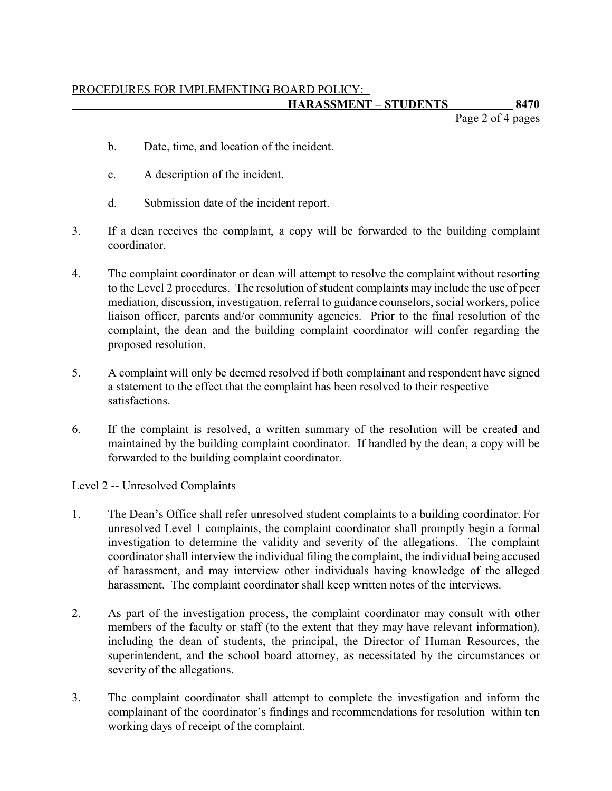Page 2 of 4 pages

- b. Date, time, and location of the incident.
- c. A description of the incident.
- d. Submission date of the incident report.
- 3. If a dean receives the complaint, a copy will be forwarded to the building complaint coordinator.
- 4. The complaint coordinator or dean will attempt to resolve the complaint without resorting to the Level 2 procedures. The resolution of student complaints may include the use of peer mediation, discussion, investigation, referral to guidance counselors, social workers, police liaison officer, parents and/or community agencies. Prior to the final resolution of the complaint, the dean and the building complaint coordinator will confer regarding the proposed resolution.
- 5. A complaint will only be deemed resolved if both complainant and respondent have signed a statement to the effect that the complaint has been resolved to their respective satisfactions.
- 6. If the complaint is resolved, a written summary of the resolution will be created and maintained by the building complaint coordinator. If handled by the dean, a copy will be forwarded to the building complaint coordinator.

## Level 2 -- Unresolved Complaints

- 1. The Dean's Office shall refer unresolved student complaints to a building coordinator. For unresolved Level 1 complaints, the complaint coordinator shall promptly begin a formal investigation to determine the validity and severity of the allegations. The complaint coordinator shall interview the individual filing the complaint, the individual being accused of harassment, and may interview other individuals having knowledge of the alleged harassment. The complaint coordinator shall keep written notes of the interviews.
- 2. As part of the investigation process, the complaint coordinator may consult with other members of the faculty or staff (to the extent that they may have relevant information), including the dean of students, the principal, the Director of Human Resources, the superintendent, and the school board attorney, as necessitated by the circumstances or severity of the allegations.
- 3. The complaint coordinator shall attempt to complete the investigation and inform the complainant of the coordinator's findings and recommendations for resolution within ten working days of receipt of the complaint.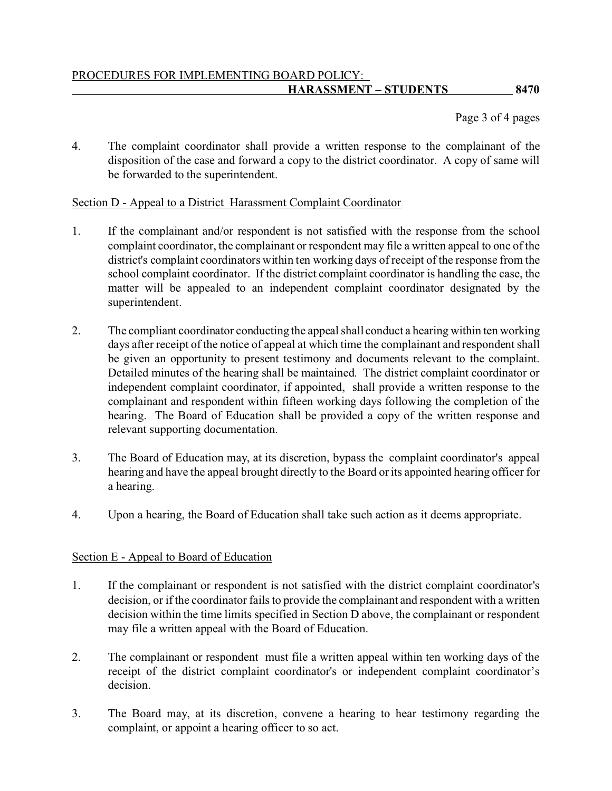Page 3 of 4 pages

4. The complaint coordinator shall provide a written response to the complainant of the disposition of the case and forward a copy to the district coordinator. A copy of same will be forwarded to the superintendent.

## Section D - Appeal to a District Harassment Complaint Coordinator

- 1. If the complainant and/or respondent is not satisfied with the response from the school complaint coordinator, the complainant or respondent may file a written appeal to one of the district's complaint coordinators within ten working days of receipt of the response from the school complaint coordinator. If the district complaint coordinator is handling the case, the matter will be appealed to an independent complaint coordinator designated by the superintendent.
- 2. The compliant coordinator conducting the appeal shall conduct a hearing within ten working days after receipt of the notice of appeal at which time the complainant and respondent shall be given an opportunity to present testimony and documents relevant to the complaint. Detailed minutes of the hearing shall be maintained. The district complaint coordinator or independent complaint coordinator, if appointed, shall provide a written response to the complainant and respondent within fifteen working days following the completion of the hearing. The Board of Education shall be provided a copy of the written response and relevant supporting documentation.
- 3. The Board of Education may, at its discretion, bypass the complaint coordinator's appeal hearing and have the appeal brought directly to the Board or its appointed hearing officer for a hearing.
- 4. Upon a hearing, the Board of Education shall take such action as it deems appropriate.

## Section E - Appeal to Board of Education

- 1. If the complainant or respondent is not satisfied with the district complaint coordinator's decision, or if the coordinator fails to provide the complainant and respondent with a written decision within the time limits specified in Section D above, the complainant or respondent may file a written appeal with the Board of Education.
- 2. The complainant or respondent must file a written appeal within ten working days of the receipt of the district complaint coordinator's or independent complaint coordinator's decision.
- 3. The Board may, at its discretion, convene a hearing to hear testimony regarding the complaint, or appoint a hearing officer to so act.